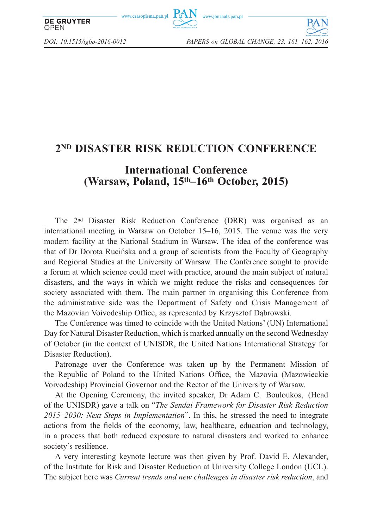www.czasopisma.pan.pl



*DOI: 10.1515/igbp-2016-0012 PAPERS on GLOBAL CHANGE, 23, 161–162, 2016*

**OPEN** 

**DE GRUYTER** 

## **2ND DISASTER RISK REDUCTION CONFERENCE**

## **International Conference (Warsaw, Poland, 15th–16th October, 2015)**

The 2nd Disaster Risk Reduction Conference (DRR) was organised as an international meeting in Warsaw on October 15–16, 2015. The venue was the very modern facility at the National Stadium in Warsaw. The idea of the conference was that of Dr Dorota Rucińska and a group of scientists from the Faculty of Geography and Regional Studies at the University of Warsaw. The Conference sought to provide a forum at which science could meet with practice, around the main subject of natural disasters, and the ways in which we might reduce the risks and consequences for society associated with them. The main partner in organising this Conference from the administrative side was the Department of Safety and Crisis Management of the Mazovian Voivodeship Office, as represented by Krzysztof Dąbrowski.

The Conference was timed to coincide with the United Nations' (UN) International Day for Natural Disaster Reduction, which is marked annually on the second Wednesday of October (in the context of UNISDR, the United Nations International Strategy for Disaster Reduction).

Patronage over the Conference was taken up by the Permanent Mission of the Republic of Poland to the United Nations Office, the Mazovia (Mazowieckie Voivodeship) Provincial Governor and the Rector of the University of Warsaw.

At the Opening Ceremony, the invited speaker, Dr Adam C. Bouloukos, (Head of the UNISDR) gave a talk on "*The Sendai Framework for Disaster Risk Reduction 2015*–*2030: Next Steps in Implementation*". In this, he stressed the need to integrate actions from the fields of the economy, law, healthcare, education and technology, in a process that both reduced exposure to natural disasters and worked to enhance society's resilience.

A very interesting keynote lecture was then given by Prof. David E. Alexander, of the Institute for Risk and Disaster Reduction at University College London (UCL). The subject here was *Current trends and new challenges in disaster risk reduction*, and